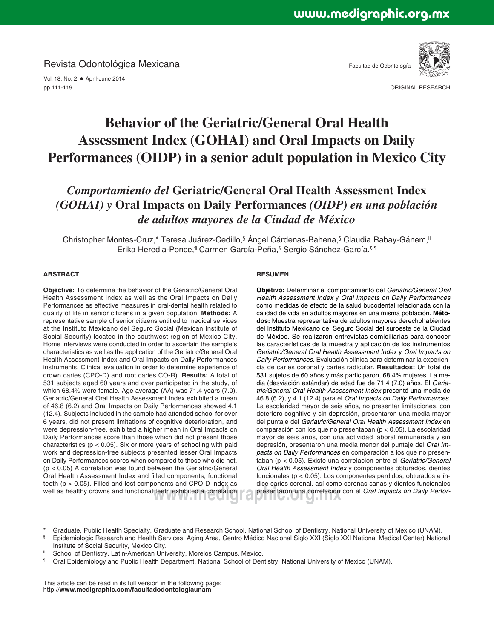Revista Odontológica Mexicana

Facultad de Odontología



Vol. 18, No. 2 · April-June 2014 pp 111-119

ORIGINAL RESEARCH

# **Behavior of the Geriatric/General Oral Health Assessment Index (GOHAI) and Oral Impacts on Daily Performances (OIDP) in a senior adult population in Mexico City**

# *Comportamiento del* **Geriatric/General Oral Health Assessment Index** *(GOHAI) y* **Oral Impacts on Daily Performances** *(OIDP) en una población de adultos mayores de la Ciudad de México*

Christopher Montes-Cruz,\* Teresa Juárez-Cedillo,§ Ángel Cárdenas-Bahena,§ Claudia Rabay-Gánem," Erika Heredia-Ponce,<sup>¶</sup> Carmen García-Peña,<sup>§</sup> Sergio Sánchez-García.§,¶

## **ABSTRACT**

**Objective:** To determine the behavior of the Geriatric/General Oral Health Assessment Index as well as the Oral Impacts on Daily Performances as effective measures in oral-dental health related to quality of life in senior citizens in a given population. **Methods:** A representative sample of senior citizens entitled to medical services at the Instituto Mexicano del Seguro Social (Mexican Institute of Social Security) located in the southwest region of Mexico City. Home interviews were conducted in order to ascertain the sample's characteristics as well as the application of the Geriatric/General Oral Health Assessment Index and Oral Impacts on Daily Performances instruments. Clinical evaluation in order to determine experience of crown caries (CPO-D) and root caries CO-R). **Results:** A total of 531 subjects aged 60 years and over participated in the study, of which 68.4% were female. Age average (AA) was 71.4 years (7.0). Geriatric/General Oral Health Assessment Index exhibited a mean of 46.8 (6.2) and Oral Impacts on Daily Performances showed 4.1 (12.4). Subjects included in the sample had attended school for over 6 years, did not present limitations of cognitive deterioration, and were depression-free, exhibited a higher mean in Oral Impacts on Daily Performances score than those which did not present those characteristics ( $p < 0.05$ ). Six or more years of schooling with paid work and depression-free subjects presented lesser Oral Impacts on Daily Performances scores when compared to those who did not. (p < 0.05) A correlation was found between the Geriatric/General Oral Health Assessment Index and filled components, functional teeth ( $p > 0.05$ ). Filled and lost components and CPO-D index as well as healthy crowns and functional teeth exhibited a correlation

## **RESUMEN**

teeth exhibited a correlation con el *Oral Impacts on Daily Perfor-*<br>
<sub>presentaron una correlación con el *Oral Impacts on Daily Perfor-*</sub> **Objetivo:** Determinar el comportamiento del *Geriatric/General Oral Health Assessment Index* y *Oral Impacts on Daily Performances* como medidas de efecto de la salud bucodental relacionada con la calidad de vida en adultos mayores en una misma población. **Métodos:** Muestra representativa de adultos mayores derechohabientes del Instituto Mexicano del Seguro Social del suroeste de la Ciudad de México. Se realizaron entrevistas domiciliarias para conocer las características de la muestra y aplicación de los instrumentos *Geriatric/General Oral Health Assessment Index* y *Oral Impacts on Daily Performances.* Evaluación clínica para determinar la experiencia de caries coronal y caries radicular. **Resultados:** Un total de 531 sujetos de 60 años y más participaron, 68.4% mujeres. La media (desviación estándar) de edad fue de 71.4 (7.0) años. El *Geriatric/General Oral Health Assessment Index* presentó una media de 46.8 (6.2), y 4.1 (12.4) para el *Oral Impacts on Daily Performances*. La escolaridad mayor de seis años, no presentar limitaciones, con deterioro cognitivo y sin depresión, presentaron una media mayor del puntaje del *Geriatric/General Oral Health Assessment Index* en comparación con los que no presentaban (p < 0.05). La escolaridad mayor de seis años, con una actividad laboral remunerada y sin depresión, presentaron una media menor del puntaje del *Oral Impacts on Daily Performances* en comparación a los que no presentaban (p < 0.05). Existe una correlación entre el *Geriatric/General Oral Health Assessment Index* y componentes obturados, dientes funcionales (p < 0.05). Los componentes perdidos, obturados e índice caries coronal, así como coronas sanas y dientes funcionales

Graduate, Public Health Specialty, Graduate and Research School, National School of Dentistry, National University of Mexico (UNAM).

- § Epidemiologic Research and Health Services, Aging Area, Centro Médico Nacional Siglo XXI (Siglo XXI National Medical Center) National Institute of Social Security, Mexico City.
- School of Dentistry, Latin-American University, Morelos Campus, Mexico.
- ¶ Oral Epidemiology and Public Health Department, National School of Dentistry, National University of Mexico (UNAM).

This article can be read in its full version in the following page: http://**www.medigraphic.com/facultadodontologiaunam**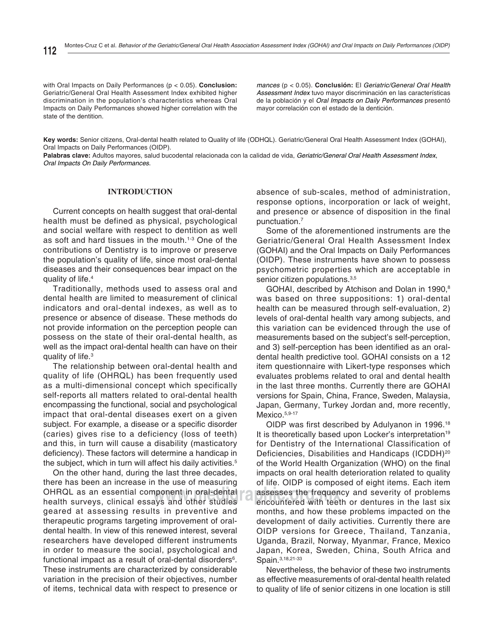with Oral Impacts on Daily Performances (p < 0.05). **Conclusion:** Geriatric/General Oral Health Assessment Index exhibited higher discrimination in the population's characteristics whereas Oral Impacts on Daily Performances showed higher correlation with the state of the dentition.

*mances* (p < 0.05). **Conclusión:** El *Geriatric/General Oral Health Assessment Index* tuvo mayor discriminación en las características de la población y el *Oral Impacts on Daily Performances* presentó mayor correlación con el estado de la dentición.

**Key words:** Senior citizens, Oral-dental health related to Quality of life (ODHQL). Geriatric/General Oral Health Assessment Index (GOHAI), Oral Impacts on Daily Performances (OIDP).

**Palabras clave:** Adultos mayores, salud bucodental relacionada con la calidad de vida, *Geriatric/General Oral Health Assessment Index*, *Oral Impacts On Daily Performances*.

#### **INTRODUCTION**

Current concepts on health suggest that oral-dental health must be defined as physical, psychological and social welfare with respect to dentition as well as soft and hard tissues in the mouth.<sup>1-3</sup> One of the contributions of Dentistry is to improve or preserve the population's quality of life, since most oral-dental diseases and their consequences bear impact on the quality of life.<sup>4</sup>

Traditionally, methods used to assess oral and dental health are limited to measurement of clinical indicators and oral-dental indexes, as well as to presence or absence of disease. These methods do not provide information on the perception people can possess on the state of their oral-dental health, as well as the impact oral-dental health can have on their quality of life.3

The relationship between oral-dental health and quality of life (OHRQL) has been frequently used as a multi-dimensional concept which specifically self-reports all matters related to oral-dental health encompassing the functional, social and psychological impact that oral-dental diseases exert on a given subject. For example, a disease or a specific disorder (caries) gives rise to a deficiency (loss of teeth) and this, in turn will cause a disability (masticatory deficiency). These factors will determine a handicap in the subject, which in turn will affect his daily activities.<sup>5</sup>

On the other hand, during the last three decades, there has been an increase in the use of measuring OHRQL as an essential component in oral-dental health surveys, clinical essays and other studies geared at assessing results in preventive and therapeutic programs targeting improvement of oraldental health. In view of this renewed interest, several researchers have developed different instruments in order to measure the social, psychological and functional impact as a result of oral-dental disorders<sup>6</sup>. These instruments are characterized by considerable variation in the precision of their objectives, number of items, technical data with respect to presence or

absence of sub-scales, method of administration, response options, incorporation or lack of weight, and presence or absence of disposition in the final punctuation.7

Some of the aforementioned instruments are the Geriatric/General Oral Health Assessment Index (GOHAI) and the Oral Impacts on Daily Performances (OIDP). These instruments have shown to possess psychometric properties which are acceptable in senior citizen populations.<sup>3,5</sup>

GOHAI, described by Atchison and Dolan in 1990,<sup>8</sup> was based on three suppositions: 1) oral-dental health can be measured through self-evaluation, 2) levels of oral-dental health vary among subjects, and this variation can be evidenced through the use of measurements based on the subject's self-perception, and 3) self-perception has been identified as an oraldental health predictive tool. GOHAI consists on a 12 item questionnaire with Likert-type responses which evaluates problems related to oral and dental health in the last three months. Currently there are GOHAI versions for Spain, China, France, Sweden, Malaysia, Japan, Germany, Turkey Jordan and, more recently, Mexico.<sup>5,9-17</sup>

**where the critical consesses the frequency and severity of problems**<br>and other studies and encountered with teeth or dentures in the last six OIDP was first described by Adulyanon in 1996.<sup>18</sup> It is theoretically based upon Locker's interpretation<sup>19</sup> for Dentistry of the International Classification of Deficiencies, Disabilities and Handicaps (ICDDH)<sup>20</sup> of the World Health Organization (WHO) on the final impacts on oral health deterioration related to quality of life. OIDP is composed of eight items. Each item encountered with teeth or dentures in the last six months, and how these problems impacted on the development of daily activities. Currently there are OIDP versions for Greece, Thailand, Tanzania, Uganda, Brazil, Norway, Myanmar, France, Mexico Japan, Korea, Sweden, China, South Africa and Spain.3,18,21-33

> Nevertheless, the behavior of these two instruments as effective measurements of oral-dental health related to quality of life of senior citizens in one location is still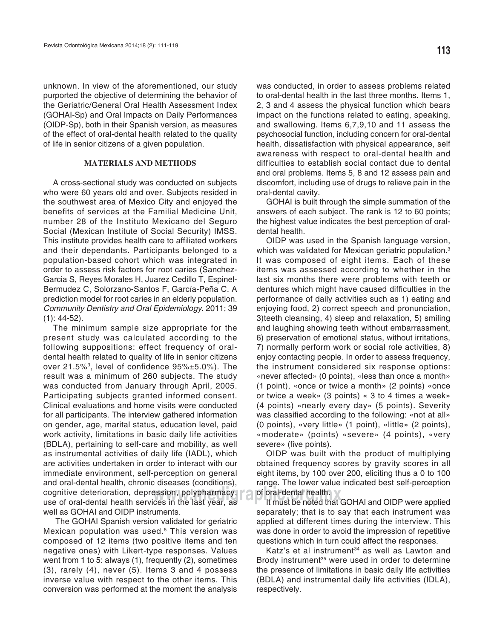unknown. In view of the aforementioned, our study purported the objective of determining the behavior of the Geriatric/General Oral Health Assessment Index (GOHAI-Sp) and Oral Impacts on Daily Performances (OIDP-Sp), both in their Spanish version, as measures of the effect of oral-dental health related to the quality of life in senior citizens of a given population.

#### **MATERIALS AND METHODS**

A cross-sectional study was conducted on subjects who were 60 years old and over. Subjects resided in the southwest area of Mexico City and enjoyed the benefits of services at the Familial Medicine Unit, number 28 of the Instituto Mexicano del Seguro Social (Mexican Institute of Social Security) IMSS. This institute provides health care to affiliated workers and their dependants. Participants belonged to a population-based cohort which was integrated in order to assess risk factors for root caries (Sanchez-Garcia S, Reyes Morales H, Juarez Cedillo T, Espinel-Bermudez C, Solorzano-Santos F, García-Peña C. A prediction model for root caries in an elderly population. *Community Dentistry and Oral Epidemiology*. 2011; 39 (1): 44-52).

**was in the last year as the line of oral-dental health.**<br>Ces in the last year, as **the line of the noted that the moted** The minimum sample size appropriate for the present study was calculated according to the following suppositions: effect frequency of oraldental health related to quality of life in senior citizens over 21.5%<sup>3</sup>, level of confidence  $95\% \pm 5.0\%$ ). The result was a minimum of 260 subjects. The study was conducted from January through April, 2005. Participating subjects granted informed consent. Clinical evaluations and home visits were conducted for all participants. The interview gathered information on gender, age, marital status, education level, paid work activity, limitations in basic daily life activities (BDLA), pertaining to self-care and mobility, as well as instrumental activities of daily life (IADL), which are activities undertaken in order to interact with our immediate environment, self-perception on general and oral-dental health, chronic diseases (conditions), cognitive deterioration, depression, polypharmacy, use of oral-dental health services in the last year, as well as GOHAI and OIDP instruments.

 The GOHAI Spanish version validated for geriatric Mexican population was used.<sup>5</sup> This version was composed of 12 items (two positive items and ten negative ones) with Likert-type responses. Values went from 1 to 5: always (1), frequently (2), sometimes (3), rarely (4), never (5). Items 3 and 4 possess inverse value with respect to the other items. This conversion was performed at the moment the analysis

was conducted, in order to assess problems related to oral-dental health in the last three months. Items 1, 2, 3 and 4 assess the physical function which bears impact on the functions related to eating, speaking, and swallowing. Items 6,7,9,10 and 11 assess the psychosocial function, including concern for oral-dental health, dissatisfaction with physical appearance, self awareness with respect to oral-dental health and difficulties to establish social contact due to dental and oral problems. Items 5, 8 and 12 assess pain and discomfort, including use of drugs to relieve pain in the oral-dental cavity.

GOHAI is built through the simple summation of the answers of each subject. The rank is 12 to 60 points; the highest value indicates the best perception of oraldental health.

OIDP was used in the Spanish language version, which was validated for Mexican geriatric population.<sup>3</sup> It was composed of eight items. Each of these items was assessed according to whether in the last six months there were problems with teeth or dentures which might have caused difficulties in the performance of daily activities such as 1) eating and enjoying food, 2) correct speech and pronunciation, 3)teeth cleansing, 4) sleep and relaxation, 5) smiling and laughing showing teeth without embarrassment, 6) preservation of emotional status, without irritations, 7) normally perform work or social role activities, 8) enjoy contacting people. In order to assess frequency, the instrument considered six response options: «never affected» (0 points), «less than once a month» (1 point), «once or twice a month» (2 points) «once or twice a week» (3 points) « 3 to 4 times a week» (4 points) «nearly every day» (5 points). Severity was classified according to the following: «not at all» (0 points), «very little» (1 point), «little» (2 points), «moderate» (points) «severe» (4 points), «very severe» (five points).

OIDP was built with the product of multiplying obtained frequency scores by gravity scores in all eight items, by 100 over 200, eliciting thus a 0 to 100 range. The lower value indicated best self-perception

It must be noted that GOHAI and OIDP were applied separately; that is to say that each instrument was applied at different times during the interview. This was done in order to avoid the impression of repetitive questions which in turn could affect the responses.

Katz's et al instrument<sup>34</sup> as well as Lawton and Brody instrument<sup>35</sup> were used in order to determine the presence of limitations in basic daily life activities (BDLA) and instrumental daily life activities (IDLA), respectively.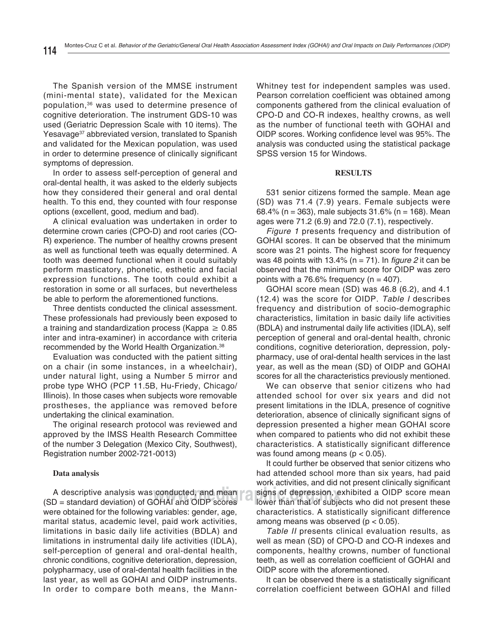The Spanish version of the MMSE instrument (mini-mental state), validated for the Mexican population,36 was used to determine presence of cognitive deterioration. The instrument GDS-10 was used (Geriatric Depression Scale with 10 items). The Yesavage<sup>37</sup> abbreviated version, translated to Spanish and validated for the Mexican population, was used in order to determine presence of clinically significant symptoms of depression.

In order to assess self-perception of general and oral-dental health, it was asked to the elderly subjects how they considered their general and oral dental health. To this end, they counted with four response options (excellent, good, medium and bad).

tooth was deemed functional when it could suitably A clinical evaluation was undertaken in order to determine crown caries (CPO-D) and root caries (CO-R) experience. The number of healthy crowns present as well as functional teeth was equally determined. A perform masticatory, phonetic, esthetic and facial expression functions. The tooth could exhibit a restoration in some or all surfaces, but nevertheless be able to perform the aforementioned functions.

Three dentists conducted the clinical assessment. These professionals had previously been exposed to a training and standardization process (Kappa  $\geq 0.85$ inter and intra-examiner) in accordance with criteria recommended by the World Health Organization.38

Evaluation was conducted with the patient sitting on a chair (in some instances, in a wheelchair), under natural light, using a Number 5 mirror and probe type WHO (PCP 11.5B, Hu-Friedy, Chicago/ Illinois). In those cases when subjects wore removable prostheses, the appliance was removed before undertaking the clinical examination.

The original research protocol was reviewed and approved by the IMSS Health Research Committee of the number 3 Delegation (Mexico City, Southwest), Registration number 2002-721-0013)

## **Data analysis**

A descriptive analysis was conducted, and mean (SD = standard deviation) of GOHAI and OIDP scores were obtained for the following variables: gender, age, marital status, academic level, paid work activities, limitations in basic daily life activities (BDLA) and limitations in instrumental daily life activities (IDLA), self-perception of general and oral-dental health, chronic conditions, cognitive deterioration, depression, polypharmacy, use of oral-dental health facilities in the last year, as well as GOHAI and OIDP instruments. In order to compare both means, the MannWhitney test for independent samples was used. Pearson correlation coefficient was obtained among components gathered from the clinical evaluation of CPO-D and CO-R indexes, healthy crowns, as well as the number of functional teeth with GOHAI and OIDP scores. Working confidence level was 95%. The analysis was conducted using the statistical package SPSS version 15 for Windows.

#### **RESULTS**

531 senior citizens formed the sample. Mean age (SD) was 71.4 (7.9) years. Female subjects were 68.4% (n = 363), male subjects  $31.6\%$  (n = 168). Mean ages were 71.2 (6.9) and 72.0 (7.1), respectively.

*Figure 1* presents frequency and distribution of GOHAI scores. It can be observed that the minimum score was 21 points. The highest score for frequency was 48 points with 13.4% ( $n = 71$ ). In *figure 2* it can be observed that the minimum score for OIDP was zero points with a 76.6% frequency ( $n = 407$ ).

GOHAI score mean (SD) was 46.8 (6.2), and 4.1 (12.4) was the score for OIDP. *Table I* describes frequency and distribution of socio-demographic characteristics, limitation in basic daily life activities (BDLA) and instrumental daily life activities (IDLA), self perception of general and oral-dental health, chronic conditions, cognitive deterioration, depression, polypharmacy, use of oral-dental health services in the last year, as well as the mean (SD) of OIDP and GOHAI scores for all the characteristics previously mentioned.

We can observe that senior citizens who had attended school for over six years and did not present limitations in the IDLA, presence of cognitive deterioration, absence of clinically significant signs of depression presented a higher mean GOHAI score when compared to patients who did not exhibit these characteristics. A statistically significant difference was found among means ( $p < 0.05$ ).

**conducted, and mean** signs of depression, exhibited a OIDP score mean<br>OHAI and OIDP scores shower than that of subjects who did not present these It could further be observed that senior citizens who had attended school more than six years, had paid work activities, and did not present clinically significant lower than that of subjects who did not present these characteristics. A statistically significant difference among means was observed ( $p < 0.05$ ).

> *Table II* presents clinical evaluation results, as well as mean (SD) of CPO-D and CO-R indexes and components, healthy crowns, number of functional teeth, as well as correlation coefficient of GOHAI and OIDP score with the aforementioned.

> It can be observed there is a statistically significant correlation coefficient between GOHAI and filled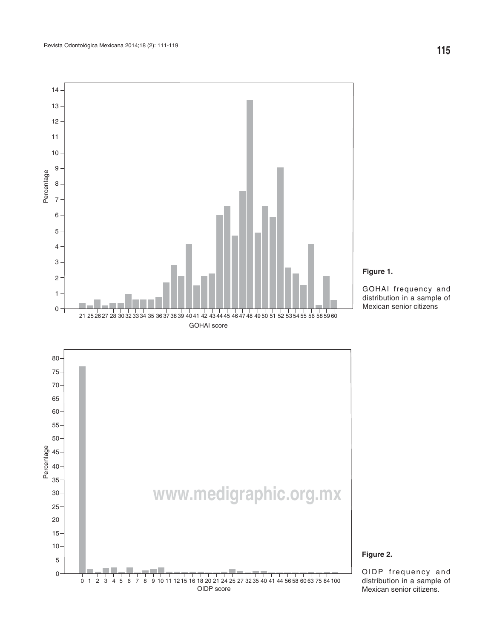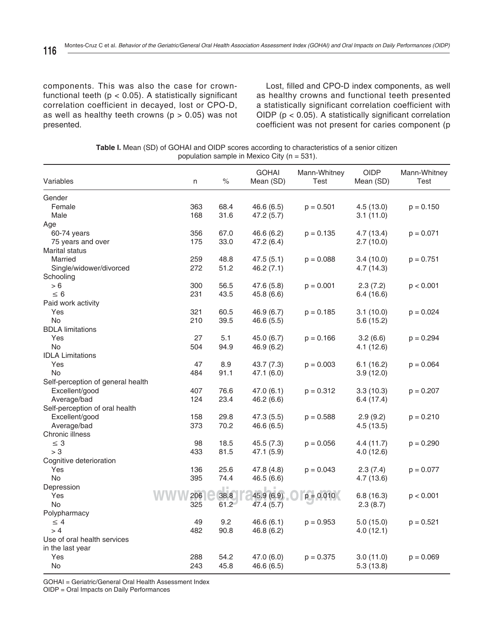components. This was also the case for crownfunctional teeth ( $p < 0.05$ ). A statistically significant correlation coefficient in decayed, lost or CPO-D, as well as healthy teeth crowns ( $p > 0.05$ ) was not presented.

Lost, filled and CPO-D index components, as well as healthy crowns and functional teeth presented a statistically significant correlation coefficient with OIDP ( $p < 0.05$ ). A statistically significant correlation coefficient was not present for caries component (p

**Table I.** Mean (SD) of GOHAI and OIDP scores according to characteristics of a senior citizen population sample in Mexico City (n = 531).

| Variables                         | n   | $\%$ | <b>GOHAI</b><br>Mean (SD) | Mann-Whitney<br>Test | <b>OIDP</b><br>Mean (SD) | Mann-Whitney<br>Test |
|-----------------------------------|-----|------|---------------------------|----------------------|--------------------------|----------------------|
| Gender                            |     |      |                           |                      |                          |                      |
| Female                            | 363 | 68.4 | 46.6 (6.5)                | $p = 0.501$          | 4.5(13.0)                | $p = 0.150$          |
| Male                              | 168 | 31.6 | 47.2 (5.7)                |                      | 3.1(11.0)                |                      |
| Age                               |     |      |                           |                      |                          |                      |
| $60-74$ years                     | 356 | 67.0 | 46.6 (6.2)                | $p = 0.135$          | 4.7(13.4)                | $p = 0.071$          |
| 75 years and over                 | 175 | 33.0 | 47.2 (6.4)                |                      | 2.7(10.0)                |                      |
| Marital status                    |     |      |                           |                      |                          |                      |
| Married                           | 259 | 48.8 | 47.5(5.1)                 | $p = 0.088$          | 3.4(10.0)                | $p = 0.751$          |
| Single/widower/divorced           | 272 | 51.2 | 46.2(7.1)                 |                      | 4.7(14.3)                |                      |
| Schooling                         |     |      |                           |                      |                          |                      |
| > 6                               | 300 | 56.5 | 47.6 (5.8)                | $p = 0.001$          | 2.3(7.2)                 | p < 0.001            |
| $\leq 6$                          | 231 | 43.5 | 45.8 (6.6)                |                      | 6.4 (16.6)               |                      |
| Paid work activity                |     |      |                           |                      |                          |                      |
| Yes                               | 321 | 60.5 | 46.9 (6.7)                | $p = 0.185$          | 3.1(10.0)                | $p = 0.024$          |
| <b>No</b>                         | 210 | 39.5 | 46.6(5.5)                 |                      | 5.6(15.2)                |                      |
| <b>BDLA</b> limitations           |     |      |                           |                      |                          |                      |
| Yes                               | 27  | 5.1  | 45.0 (6.7)                | $p = 0.166$          | 3.2(6.6)                 | $p = 0.294$          |
| <b>No</b>                         | 504 | 94.9 | 46.9 (6.2)                |                      | 4.1 (12.6)               |                      |
| <b>IDLA Limitations</b>           |     |      |                           |                      |                          |                      |
| Yes                               | 47  | 8.9  | 43.7 (7.3)                | $p = 0.003$          | 6.1(16.2)                | $p = 0.064$          |
| <b>No</b>                         | 484 | 91.1 | 47.1 (6.0)                |                      | 3.9(12.0)                |                      |
| Self-perception of general health |     |      |                           |                      |                          |                      |
| Excellent/good                    | 407 | 76.6 | 47.0 (6.1)                | $p = 0.312$          | 3.3(10.3)                | $p = 0.207$          |
| Average/bad                       | 124 | 23.4 | 46.2 (6.6)                |                      | 6.4(17.4)                |                      |
| Self-perception of oral health    |     |      |                           |                      |                          |                      |
| Excellent/good                    | 158 | 29.8 | 47.3 (5.5)                | $p = 0.588$          | 2.9(9.2)                 | $p = 0.210$          |
| Average/bad                       | 373 | 70.2 | 46.6 (6.5)                |                      | 4.5(13.5)                |                      |
| Chronic illness                   |     |      |                           |                      |                          |                      |
| $\leq 3$                          | 98  | 18.5 | 45.5(7.3)                 | $p = 0.056$          | 4.4(11.7)                | $p = 0.290$          |
| > 3                               | 433 | 81.5 | 47.1 (5.9)                |                      | 4.0(12.6)                |                      |
| Cognitive deterioration           |     |      |                           |                      |                          |                      |
| Yes                               | 136 | 25.6 | 47.8 (4.8)                | $p = 0.043$          | 2.3(7.4)                 | $p = 0.077$          |
| <b>No</b>                         | 395 | 74.4 | 46.5(6.6)                 |                      | 4.7(13.6)                |                      |
| Depression                        |     |      |                           |                      |                          |                      |
| Yes                               | 206 | 38.8 | 45.9 (6.9)                | $p = 0.010$          | 6.8(16.3)                | p < 0.001            |
| <b>No</b>                         | 325 | 61.2 | 47.4(5.7)                 |                      | 2.3(8.7)                 |                      |
| Polypharmacy                      |     |      |                           |                      |                          |                      |
| $\leq 4$                          | 49  | 9.2  | 46.6(6.1)                 | $p = 0.953$          | 5.0(15.0)                | $p = 0.521$          |
| > 4                               | 482 | 90.8 | 46.8 (6.2)                |                      | 4.0(12.1)                |                      |
| Use of oral health services       |     |      |                           |                      |                          |                      |
| in the last year                  |     |      |                           |                      |                          |                      |
| Yes                               | 288 | 54.2 | 47.0 (6.0)                | $p = 0.375$          | 3.0(11.0)                | $p = 0.069$          |
| <b>No</b>                         | 243 | 45.8 | 46.6 (6.5)                |                      | 5.3(13.8)                |                      |

GOHAI = Geriatric/General Oral Health Assessment Index

OIDP = Oral Impacts on Daily Performances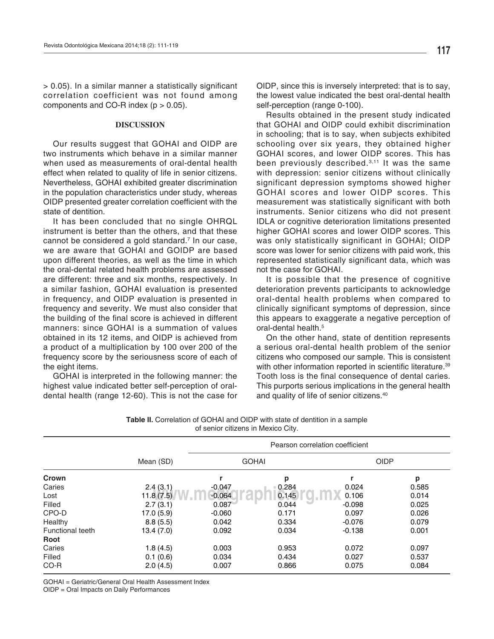$> 0.05$ ). In a similar manner a statistically significant correlation coefficient was not found among components and CO-R index  $(p > 0.05)$ .

#### **DISCUSSION**

Our results suggest that GOHAI and OIDP are two instruments which behave in a similar manner when used as measurements of oral-dental health effect when related to quality of life in senior citizens. Nevertheless, GOHAI exhibited greater discrimination in the population characteristics under study, whereas OIDP presented greater correlation coefficient with the state of dentition.

It has been concluded that no single OHRQL instrument is better than the others, and that these cannot be considered a gold standard.<sup>7</sup> In our case, we are aware that GOHAI and GOIDP are based upon different theories, as well as the time in which the oral-dental related health problems are assessed are different: three and six months, respectively. In a similar fashion, GOHAI evaluation is presented in frequency, and OIDP evaluation is presented in frequency and severity. We must also consider that the building of the final score is achieved in different manners: since GOHAI is a summation of values obtained in its 12 items, and OIDP is achieved from a product of a multiplication by 100 over 200 of the frequency score by the seriousness score of each of the eight items.

GOHAI is interpreted in the following manner: the highest value indicated better self-perception of oraldental health (range 12-60). This is not the case for the lowest value indicated the best oral-dental health self-perception (range 0-100).

Results obtained in the present study indicated that GOHAI and OIDP could exhibit discrimination in schooling; that is to say, when subjects exhibited schooling over six years, they obtained higher GOHAI scores, and lower OIDP scores. This has been previously described.<sup>3,11</sup> It was the same with depression: senior citizens without clinically significant depression symptoms showed higher GOHAI scores and lower OIDP scores. This measurement was statistically significant with both instruments. Senior citizens who did not present IDLA or cognitive deterioration limitations presented higher GOHAI scores and lower OIDP scores. This was only statistically significant in GOHAI; OIDP score was lower for senior citizens with paid work, this represented statistically significant data, which was not the case for GOHAI.

It is possible that the presence of cognitive deterioration prevents participants to acknowledge oral-dental health problems when compared to clinically significant symptoms of depression, since this appears to exaggerate a negative perception of oral-dental health.<sup>5</sup>

On the other hand, state of dentition represents a serious oral-dental health problem of the senior citizens who composed our sample. This is consistent with other information reported in scientific literature.<sup>39</sup> Tooth loss is the final consequence of dental caries. This purports serious implications in the general health and quality of life of senior citizens.40

|                         |            | Pearson correlation coefficient |       |             |       |  |  |  |
|-------------------------|------------|---------------------------------|-------|-------------|-------|--|--|--|
|                         | Mean (SD)  | <b>GOHAI</b>                    |       | <b>OIDP</b> |       |  |  |  |
| Crown                   |            |                                 | p     |             | p     |  |  |  |
| Caries                  | 2.4(3.1)   | $-0.047$                        | 0.284 | 0.024       | 0.585 |  |  |  |
| Lost                    | 11.8(7.5)  | $-0.064$                        | 0.145 | 0.106       | 0.014 |  |  |  |
| Filled                  | 2.7(3.1)   | 0.087                           | 0.044 | $-0.098$    | 0.025 |  |  |  |
| CPO-D                   | 17.0 (5.9) | $-0.060$                        | 0.171 | 0.097       | 0.026 |  |  |  |
| Healthy                 | 8.8(5.5)   | 0.042                           | 0.334 | $-0.076$    | 0.079 |  |  |  |
| <b>Functional teeth</b> | 13.4 (7.0) | 0.092                           | 0.034 | $-0.138$    | 0.001 |  |  |  |
| Root                    |            |                                 |       |             |       |  |  |  |
| Caries                  | 1.8(4.5)   | 0.003                           | 0.953 | 0.072       | 0.097 |  |  |  |
| Filled                  | 0.1(0.6)   | 0.034                           | 0.434 | 0.027       | 0.537 |  |  |  |
| CO-R                    | 2.0(4.5)   | 0.007                           | 0.866 | 0.075       | 0.084 |  |  |  |

**Table II.** Correlation of GOHAI and OIDP with state of dentition in a sample of senior citizens in Mexico City.

GOHAI = Geriatric/General Oral Health Assessment Index

OIDP = Oral Impacts on Daily Performances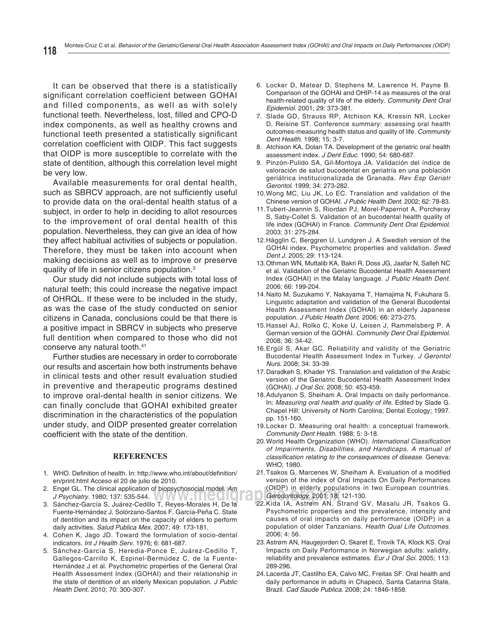It can be observed that there is a statistically significant correlation coefficient between GOHAI and filled components, as well as with solely functional teeth. Nevertheless, lost, filled and CPO-D index components, as well as healthy crowns and functional teeth presented a statistically significant correlation coefficient with OIDP. This fact suggests that OIDP is more susceptible to correlate with the state of dentition, although this correlation level might be very low.

Available measurements for oral dental health, such as SBRCV approach, are not sufficiently useful to provide data on the oral-dental health status of a subject, in order to help in deciding to allot resources to the improvement of oral dental health of this population. Nevertheless, they can give an idea of how they affect habitual activities of subjects or population. Therefore, they must be taken into account when making decisions as well as to improve or preserve quality of life in senior citizens population.3

Our study did not include subjects with total loss of natural teeth; this could increase the negative impact of OHRQL. If these were to be included in the study, as was the case of the study conducted on senior citizens in Canada, conclusions could be that there is a positive impact in SBRCV in subjects who preserve full dentition when compared to those who did not conserve any natural tooth.41

Further studies are necessary in order to corroborate our results and ascertain how both instruments behave in clinical tests and other result evaluation studied in preventive and therapeutic programs destined to improve oral-dental health in senior citizens. We can finally conclude that GOHAI exhibited greater discrimination in the characteristics of the population under study, and OIDP presented greater correlation coefficient with the state of the dentition.

#### **REFERENCES**

- 1. WHO. Definition of health. In: http://www.who.int/about/definition/ en/print.html Acceso el 20 de julio de 2010.
- 2. Engel GL. The clinical application of biopsychosocial model. *Am J Psychiatry*. 1980; 137: 535-544.
- 3. Sánchez-García S, Juárez-Cedillo T, Reyes-Morales H, De la Fuente-Hernández J, Solórzano-Santos F, García-Peña C. State of dentition and its impact on the capacity of elders to perform daily activities. *Salud Publica Mex*. 2007; 49: 173-181.
- 4. Cohen K, Jago JD. Toward the formulation of socio-dental indicators. *Int J Health Serv*. 1976; 6: 681-687.
- 5. Sánchez-García S, Heredia-Ponce E, Juárez-Cedillo T, Gallegos-Carrillo K, Espinel-Bermúdez C, de la Fuente-Hernández J et al. Psychometric properties of the General Oral Health Assessment Index (GOHAI) and their relationship in the state of dentition of an elderly Mexican population. *J Public Health Dent*. 2010; 70: 300-307.
- 6. Locker D, Matear D, Stephens M, Lawrence H, Payne B. Comparison of the GOHAI and OHIP-14 as measures of the oral health-related quality of life of the elderly. *Community Dent Oral Epidemiol*. 2001; 29: 373-381.
- 7. Slade GD, Strauss RP, Atchison KA, Kressin NR, Locker D, Reisine ST. Conference summary: assessing oral health outcomes-measuring health status and quality of life. *Community Dent Health*. 1998; 15: 3-7.
- 8. Atchison KA, Dolan TA. Development of the geriatric oral health assessment index. *J Dent Educ*. 1990; 54: 680-687.
- 9. Pinzón-Pulido SA, Gil-Montoya JA. Validación del índice de valoración de salud bucodental en geriatría en una población geriátrica institucionalizada de Granada. *Rev Esp Geriatr Gerontol*. 1999; 34: 273-282.
- 10. Wong MC, Liu JK, Lo EC. Translation and validation of the Chinese version of GOHAI. *J Public Health Dent*. 2002; 62: 78-83.
- 11. Tubert-Jeannin S, Riordan PJ, Morel-Papernot A, Porcheray S, Saby-Collet S. Validation of an bucodental health quality of life index (GOHAI) in France. *Community Dent Oral Epidemiol*. 2003; 31: 275-284.
- 12. Hägglin C, Berggren U, Lundgren J. A Swedish version of the GOHAI index. Psychometric properties and validation. *Swed Dent J*. 2005; 29: 113-124.
- 13. Othman WN, Muttalib KA, Bakri R, Doss JG, Jaafar N, Salleh NC et al. Validation of the Geriatric Bucodental Health Assessment Index (GOHAI) in the Malay language. *J Public Health Dent*. 2006; 66: 199-204.
- 14. Naito M, Suzukamo Y, Nakayama T, Hamajima N, Fukuhara S. Linguistic adaptation and validation of the General Bucodental Health Assessment Index (GOHAI) in an elderly Japanese population. *J Public Health Dent*. 2006; 66: 273-275.
- 15. Hassel AJ, Rolko C, Koke U, Leisen J, Rammelsberg P. A German version of the GOHAI. *Community Dent Oral Epidemiol*. 2008; 36: 34-42.
- 16. Ergül S, Akar GC. Reliability and validity of the Geriatric Bucodental Health Assessment Index in Turkey. *J Gerontol Nurs*. 2008; 34: 33-39.
- 17. Daradkeh S, Khader YS. Translation and validation of the Arabic version of the Geriatric Bucodental Health Assessment Index (GOHAI). *J Oral Sci*. 2008; 50: 453-459.
- 18. Adulyanon S, Sheiham A. Oral Impacts on daily performance. In: *Measuring oral health and quality of life*. Edited by Slade G. Chapel Hill: University of North Carolina; Dental Ecology; 1997. pp. 151-160.
- 19. Locker D. Measuring oral health: a conceptual framework. *Community Dent Health*. 1988; 5: 3-18.
- 20. World Health Organization (WHO). *International Classification of Impairments, Disabilities, and Handicaps. A manual of classifi cation relating to the consequences of disease*. Geneva: WHO; 1980.
- **www.media.org.mx**<br> **Gerodontology**. 2001; 18: 121-130. 21. Tsakos G, Marcenes W, Sheiham A. Evaluation of a modified version of the index of Oral Impacts On Daily Performances (OIDP) in elderly populations in two European countries.
	- 22. Kida IA, Astrøm AN, Strand GV, Masalu JR, Tsakos G. Psychometric properties and the prevalence, intensity and causes of oral impacts on daily performance (OIDP) in a population of older Tanzanians. *Health Qual Life Outcomes*. 2006; 4: 56.
	- 23. Astrøm AN, Haugejorden O, Skaret E, Trovik TA, Klock KS. Oral Impacts on Daily Performance in Norwegian adults: validity, reliability and prevalence estimates. *Eur J Oral Sci*. 2005; 113: 289-296.
	- 24. Lacerda JT, Castilho EA, Calvo MC, Freitas SF. Oral health and daily performance in adults in Chapecó, Santa Catarina State, Brazil. *Cad Saude Publica*. 2008; 24: 1846-1858.